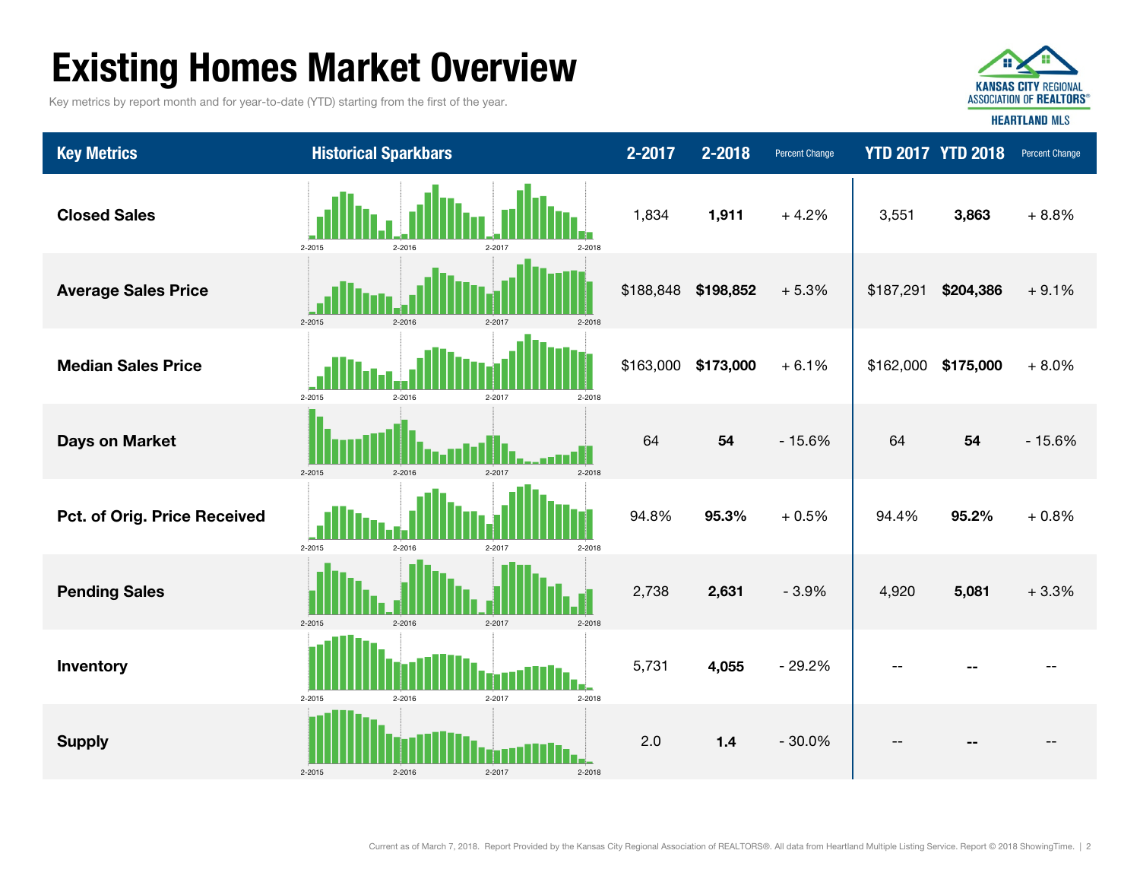# Existing Homes Market Overview

Key metrics by report month and for year-to-date (YTD) starting from the first of the year.



Key Metrics **Examples The Sparkbars** Historical Sparkbars 2-2017 2-2018 Percent Change YTD 2017 YTD 2018 Percent Change --Supply 2.0 1.4 - 30.0% -- -- -- Inventory 5,731 4,055 - 29.2% -- -- + 0.8%Pending Sales 2,738 2,631 - 3.9% 4,920 5,081 + 3.3% Pct. of Orig. Price Received 94.8% 95.3% + 0.5% 94.4% 95.2% + 8.0%Days on Market 64 54 - 15.6% 64 54 - 15.6% Median Sales Price $$163,000$   $$173,000$   $+6.1\%$   $$162,000$   $$175,000$  $3.863 + 8.8\%$ Average Sales Price \$188,848 \$198,852 + 5.3% \$187,291 \$204,386 + 9.1% 3,551 Closed Sales 1,834 1,911 + 4.2% 2-2015 2-2016 2-2017 2-2018  $2.2015$  2-2016 2-2017 2-2018 2-2015 2-2016 2-2017 2-2018 2-2015 2-2016 2-2017 2-2018 2-2015 2-2016 2-2017 2-2018 2-2015 2-2016 2-2017 2-2018 2-2015 2-2016 2-2017 2-2018 2-20152-2016 2-2017 2-2018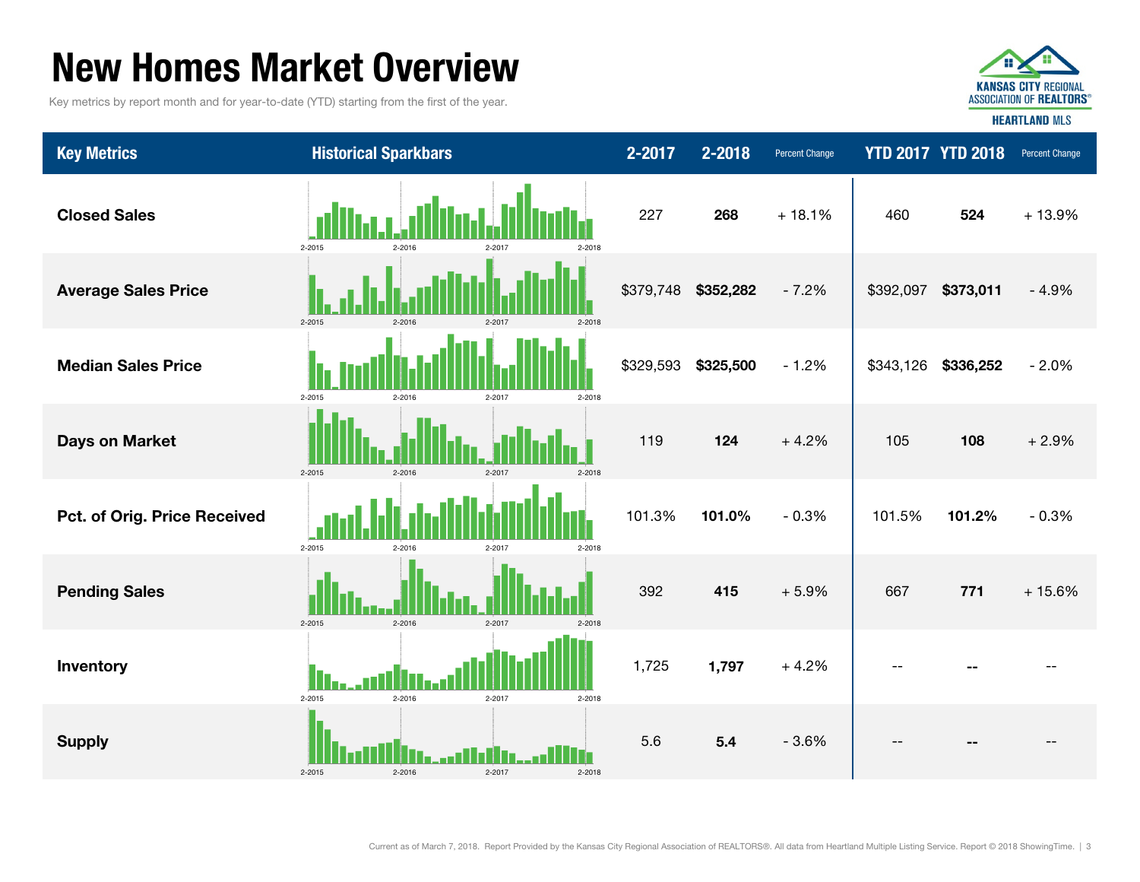### New Homes Market Overview

Key metrics by report month and for year-to-date (YTD) starting from the first of the year.



**HEARTLAND MLS** 

| <b>Key Metrics</b>           | <b>Historical Sparkbars</b>              | 2-2017    | 2-2018    | <b>Percent Change</b> |           | <b>YTD 2017 YTD 2018</b> | Percent Change |
|------------------------------|------------------------------------------|-----------|-----------|-----------------------|-----------|--------------------------|----------------|
| <b>Closed Sales</b>          | 2-2015<br>2-2016<br>2-2018<br>2-2017     | 227       | 268       | $+18.1%$              | 460       | 524                      | $+13.9%$       |
| <b>Average Sales Price</b>   | $2 - 2015$<br>$2 - 2016$<br>$2 - 2018$   | \$379,748 | \$352,282 | $-7.2%$               | \$392,097 | \$373,011                | $-4.9%$        |
| <b>Median Sales Price</b>    | 2-2015<br>$2 - 2016$<br>2-2017<br>2-2018 | \$329,593 | \$325,500 | $-1.2%$               | \$343,126 | \$336,252                | $-2.0%$        |
| <b>Days on Market</b>        | 2-2015<br>2-2016<br>2-2017<br>2-2018     | 119       | 124       | $+4.2%$               | 105       | 108                      | $+2.9%$        |
| Pct. of Orig. Price Received | 2-2015<br>2-2018<br>2-2016<br>2-2017     | 101.3%    | 101.0%    | $-0.3%$               | 101.5%    | 101.2%                   | $-0.3%$        |
| <b>Pending Sales</b>         | 2-2015<br>$2 - 2016$<br>2-2017<br>2-2018 | 392       | 415       | $+5.9%$               | 667       | 771                      | $+15.6%$       |
| Inventory                    | 2-2015<br>2-2016<br>2-2017<br>2-2018     | 1,725     | 1,797     | $+4.2%$               |           |                          |                |
| <b>Supply</b>                | $2 - 2015$<br>2-2016<br>2-2017<br>2-2018 | 5.6       | 5.4       | $-3.6%$               | $-$       |                          |                |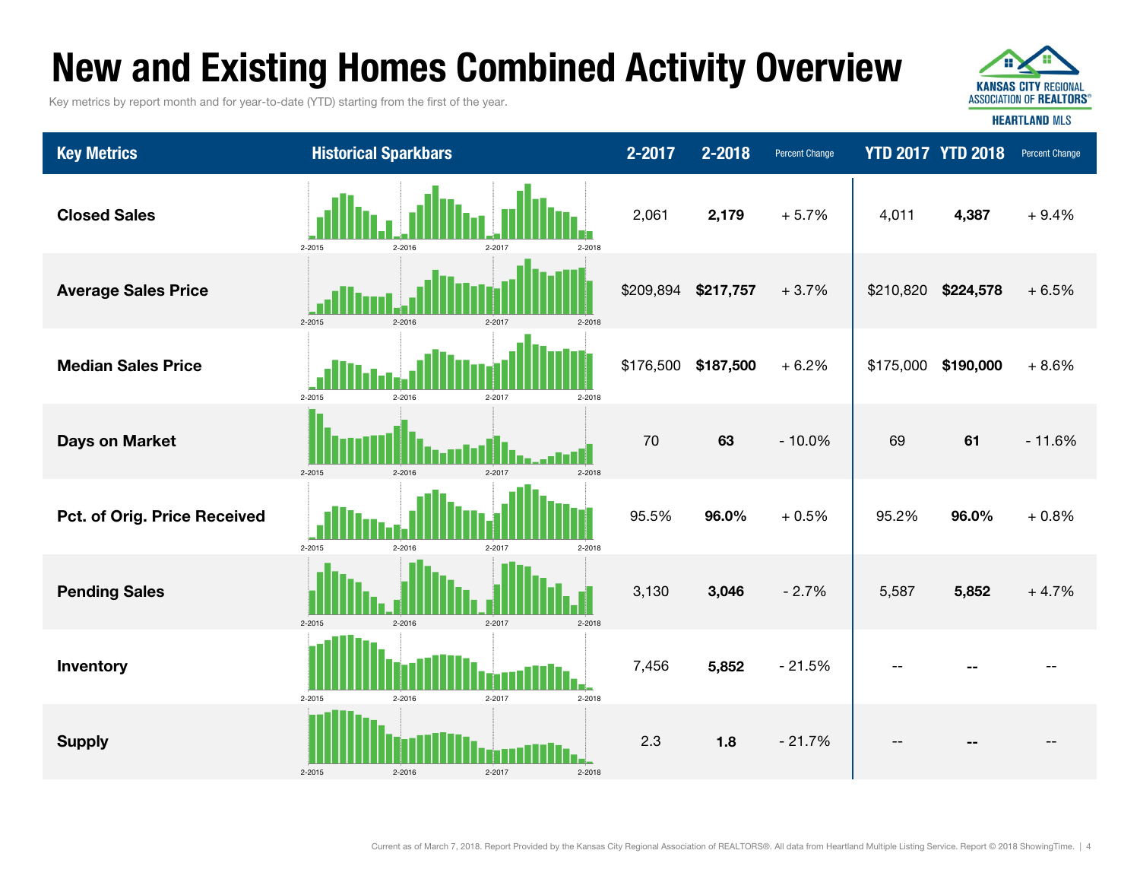# New and Existing Homes Combined Activity Overview

Key metrics by report month and for year-to-date (YTD) starting from the first of the year.



| <b>Key Metrics</b>           | <b>Historical Sparkbars</b>                          | 2-2017    | 2-2018    | Percent Change |           | <b>YTD 2017 YTD 2018</b> | Percent Change |
|------------------------------|------------------------------------------------------|-----------|-----------|----------------|-----------|--------------------------|----------------|
| <b>Closed Sales</b>          | 2-2015<br>2-2016<br>2-2017<br>2-2018                 | 2,061     | 2,179     | $+5.7%$        | 4,011     | 4,387                    | $+9.4%$        |
| <b>Average Sales Price</b>   | $2 - 2015$<br>2-2016<br>$2 - 2017$<br>2-2018         | \$209,894 | \$217,757 | $+3.7%$        | \$210,820 | \$224,578                | $+6.5%$        |
| <b>Median Sales Price</b>    | 2-2015<br>2-2016<br>2-2017<br>2-2018                 | \$176,500 | \$187,500 | $+6.2%$        |           | \$175,000 \$190,000      | $+8.6%$        |
| <b>Days on Market</b>        | $2 - 2015$<br>$2 - 2018$<br>$2 - 2016$<br>$2 - 2017$ | 70        | 63        | $-10.0%$       | 69        | 61                       | $-11.6%$       |
| Pct. of Orig. Price Received | 2-2015<br>$2 - 2016$<br>2-2017<br>2-2018             | 95.5%     | 96.0%     | $+0.5%$        | 95.2%     | 96.0%                    | $+0.8%$        |
| <b>Pending Sales</b>         | $2 - 2015$<br>$2 - 2016$<br>$2 - 2017$<br>2-2018     | 3,130     | 3,046     | $-2.7%$        | 5,587     | 5,852                    | $+4.7%$        |
| Inventory                    | 2-2015<br>2-2017<br>2-2018<br>2-2016                 | 7,456     | 5,852     | $-21.5%$       |           |                          |                |
| <b>Supply</b>                | $2 - 2015$<br>2-2017<br>$2 - 2016$<br>2-2018         | 2.3       | 1.8       | $-21.7%$       | --        | --                       |                |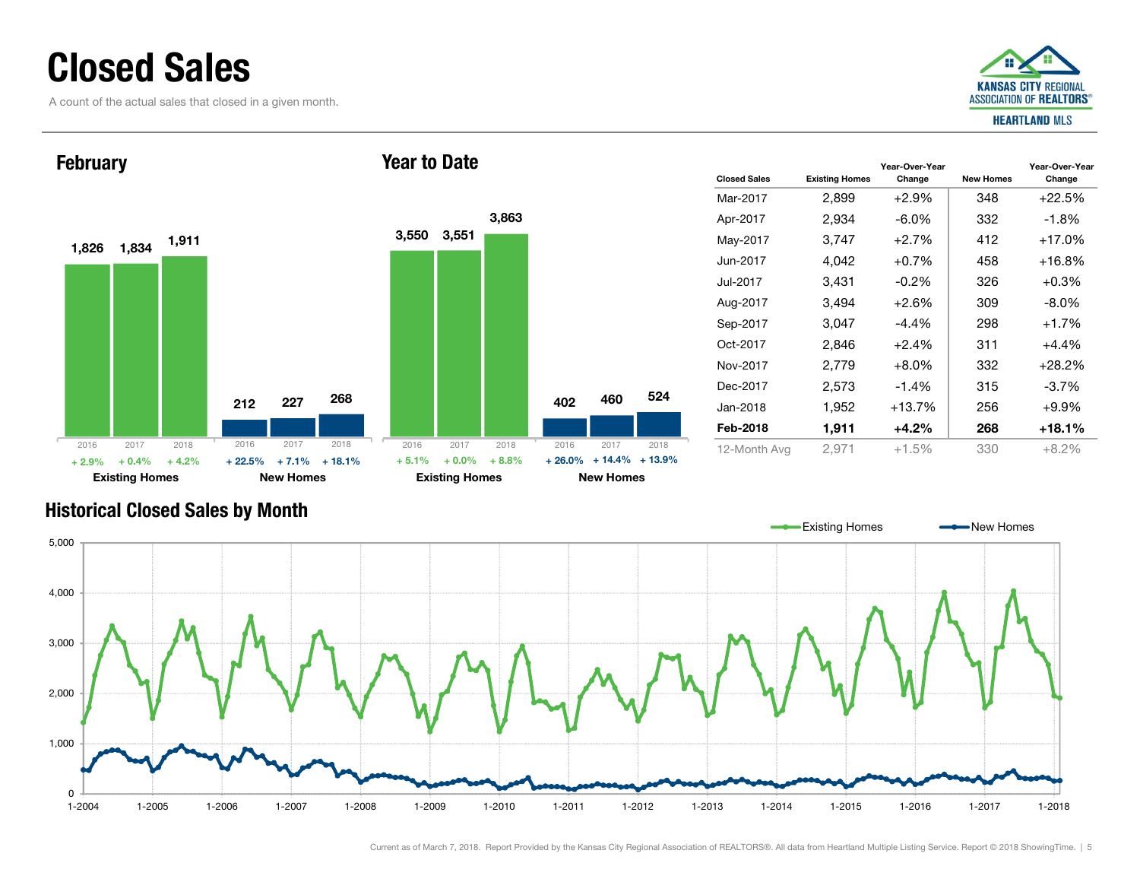### Closed Sales

A count of the actual sales that closed in a given month.





| <b>Closed Sales</b> | <b>Existing Homes</b> | Year-Over-Year<br>Change | <b>New Homes</b> | Year-Over-Year<br>Change |
|---------------------|-----------------------|--------------------------|------------------|--------------------------|
| Mar-2017            | 2,899                 | $+2.9\%$                 | 348              | $+22.5%$                 |
| Apr-2017            | 2,934                 | -6.0%                    | 332              | $-1.8%$                  |
| May-2017            | 3,747                 | $+2.7%$                  | 412              | $+17.0%$                 |
| Jun-2017.           | 4,042                 | $+0.7%$                  | 458              | $+16.8\%$                |
| Jul-2017            | 3,431                 | $-0.2\%$                 | 326              | $+0.3%$                  |
| Aug-2017            | 3,494                 | +2.6%                    | 309              | $-8.0\%$                 |
| Sep-2017            | 3.047                 | -4.4%                    | 298              | $+1.7%$                  |
| Oct-2017            | 2,846                 | $+2.4%$                  | 311              | $+4.4%$                  |
| Nov-2017            | 2,779                 | $+8.0\%$                 | 332              | $+28.2%$                 |
| Dec-2017            | 2,573                 | $-1.4\%$                 | 315              | $-3.7%$                  |
| Jan-2018            | 1,952                 | $+13.7%$                 | 256              | $+9.9\%$                 |
| Feb-2018            | 1,911                 | +4.2%                    | 268              | $+18.1%$                 |
| 12-Month Avg        | 2,971                 | +1.5%                    | 330              | $+8.2%$                  |

#### Historical Closed Sales by Month

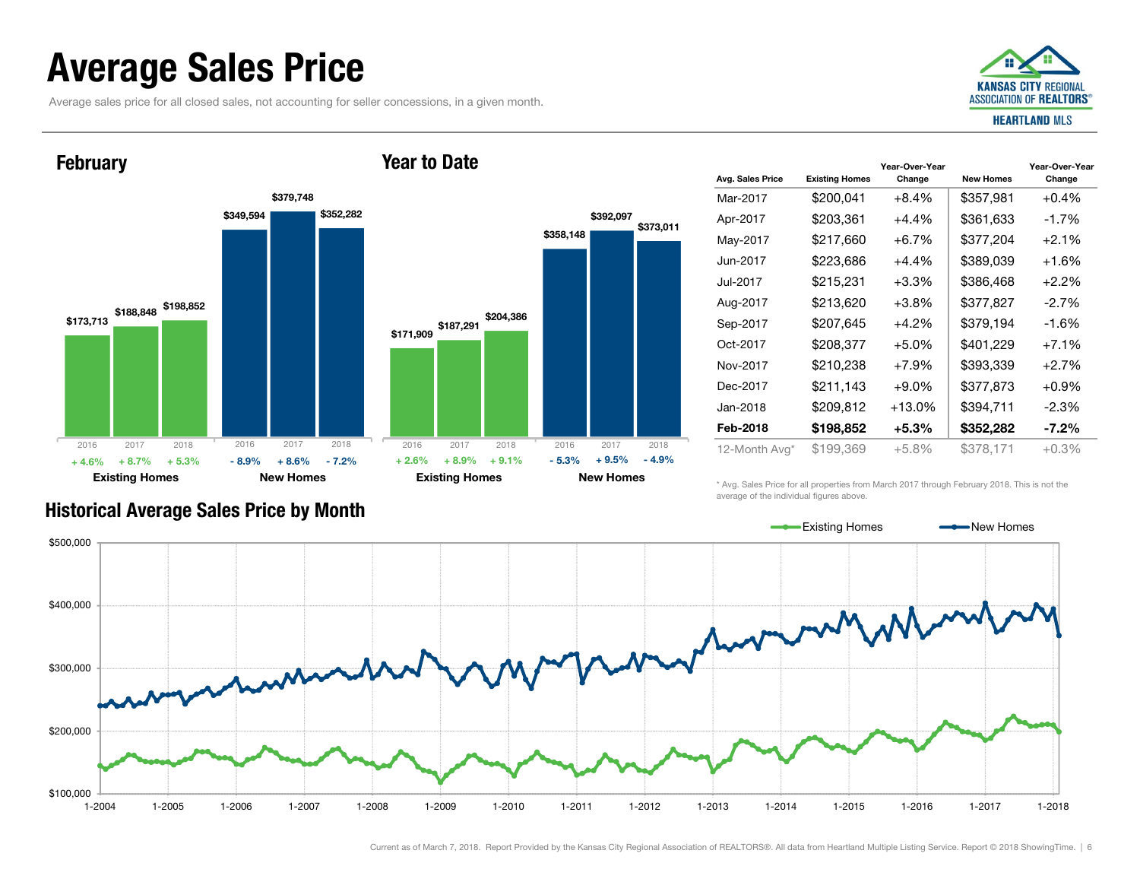### Average Sales Price

**February** 

Average sales price for all closed sales, not accounting for seller concessions, in a given month.



#### \$173,713 \$188,848 \$198,852 \$349,594 \$379,748 \$352,282 Existing Homes New Homes \$171,909 \$187,291 \$204,386 \$358,148 \$392,097 Existing Homes New Homes 2016 2017 2018 + 8.7% $\%$  + 5.3% - 8.9% + 8.6% - 7.2% + 2.6% + 8.9% + 9.1% - 5.3% + 9.5% - 4.9% 2016 2017 2018 2016 2017 2018 2016 2017 2018  $+4.6%$  $\%$  + 8.7% + 5.3% - 8.9% + 8.6% - 7.2% + 2.6% + 8.9% + 9.1% - 5.3%

| Avg. Sales Price | <b>Existing Homes</b> | Year-Over-Year<br>Change | <b>New Homes</b> | Year-Over-Year<br>Change |
|------------------|-----------------------|--------------------------|------------------|--------------------------|
|                  |                       |                          |                  |                          |
| Mar-2017         | \$200,041             | +8.4%                    | \$357,981        | $+0.4%$                  |
| Apr-2017         | \$203,361             | $+4.4\%$                 | \$361,633        | $-1.7%$                  |
| May-2017         | \$217,660             | $+6.7\%$                 | \$377,204        | $+2.1%$                  |
| Jun-2017         | \$223,686             | +4.4%                    | \$389,039        | $+1.6%$                  |
| Jul-2017         | \$215,231             | $+3.3%$                  | \$386,468        | $+2.2%$                  |
| Aug-2017         | \$213,620             | $+3.8\%$                 | \$377,827        | $-2.7%$                  |
| Sep-2017         | \$207,645             | $+4.2%$                  | \$379,194        | $-1.6%$                  |
| Oct-2017         | \$208,377             | $+5.0%$                  | \$401,229        | $+7.1%$                  |
| Nov-2017         | \$210,238             | $+7.9\%$                 | \$393,339        | $+2.7%$                  |
| Dec-2017         | \$211,143             | $+9.0\%$                 | \$377,873        | $+0.9%$                  |
| Jan-2018         | \$209,812             | $+13.0\%$                | \$394,711        | $-2.3%$                  |
| Feb-2018         | \$198,852             | $+5.3%$                  | \$352,282        | $-7.2\%$                 |
| 12-Month Avg*    | \$199,369             | +5.8%                    | \$378,171        | +0.3%                    |

Historical Average Sales Price by Month

\* Avg. Sales Price for all properties from March 2017 through February 2018. This is not the average of the individual figures above.



Year to Date

\$373,011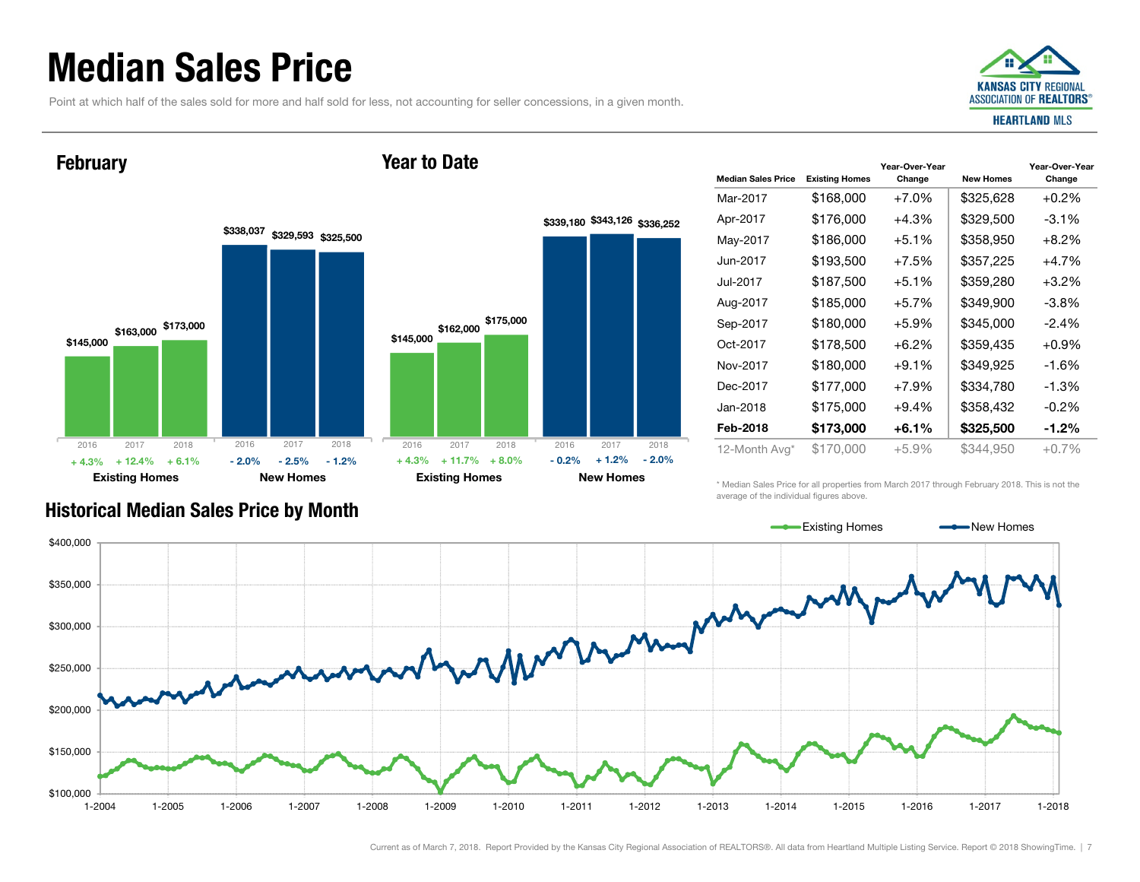### Median Sales Price

Point at which half of the sales sold for more and half sold for less, not accounting for seller concessions, in a given month.



#### **February**





| <b>Median Sales Price</b> | <b>Existing Homes</b> | Year-Over-Year<br>Change | <b>New Homes</b> | Year-Over-Year<br>Change |
|---------------------------|-----------------------|--------------------------|------------------|--------------------------|
| Mar-2017                  | \$168,000             | $+7.0%$                  | \$325,628        | $+0.2%$                  |
| Apr-2017                  | \$176,000             | $+4.3%$                  | \$329,500        | $-3.1\%$                 |
| May-2017                  | \$186,000             | $+5.1%$                  | \$358,950        | $+8.2\%$                 |
| Jun-2017                  | \$193,500             | $+7.5%$                  | \$357,225        | $+4.7%$                  |
| Jul-2017                  | \$187,500             | $+5.1%$                  | \$359,280        | $+3.2%$                  |
| Aug-2017                  | \$185,000             | $+5.7%$                  | \$349,900        | $-3.8\%$                 |
| Sep-2017                  | \$180.000             | $+5.9\%$                 | \$345,000        | $-2.4\%$                 |
| Oct-2017                  | \$178,500             | $+6.2\%$                 | \$359,435        | $+0.9\%$                 |
| Nov-2017                  | \$180,000             | $+9.1%$                  | \$349,925        | -1.6%                    |
| Dec-2017                  | \$177,000             | $+7.9%$                  | \$334,780        | $-1.3%$                  |
| Jan-2018                  | \$175,000             | $+9.4%$                  | \$358,432        | $-0.2\%$                 |
| Feb-2018                  | \$173,000             | $+6.1%$                  | \$325,500        | $-1.2\%$                 |
| 12-Month Avg*             | \$170,000             | $+5.9%$                  | \$344,950        | $+0.7\%$                 |

Historical Median Sales Price by Month

\* Median Sales Price for all properties from March 2017 through February 2018. This is not the average of the individual figures above.



#### Current as of March 7, 2018. Report Provided by the Kansas City Regional Association of REALTORS®. All data from Heartland Multiple Listing Service. Report © 2018 ShowingTime. | 7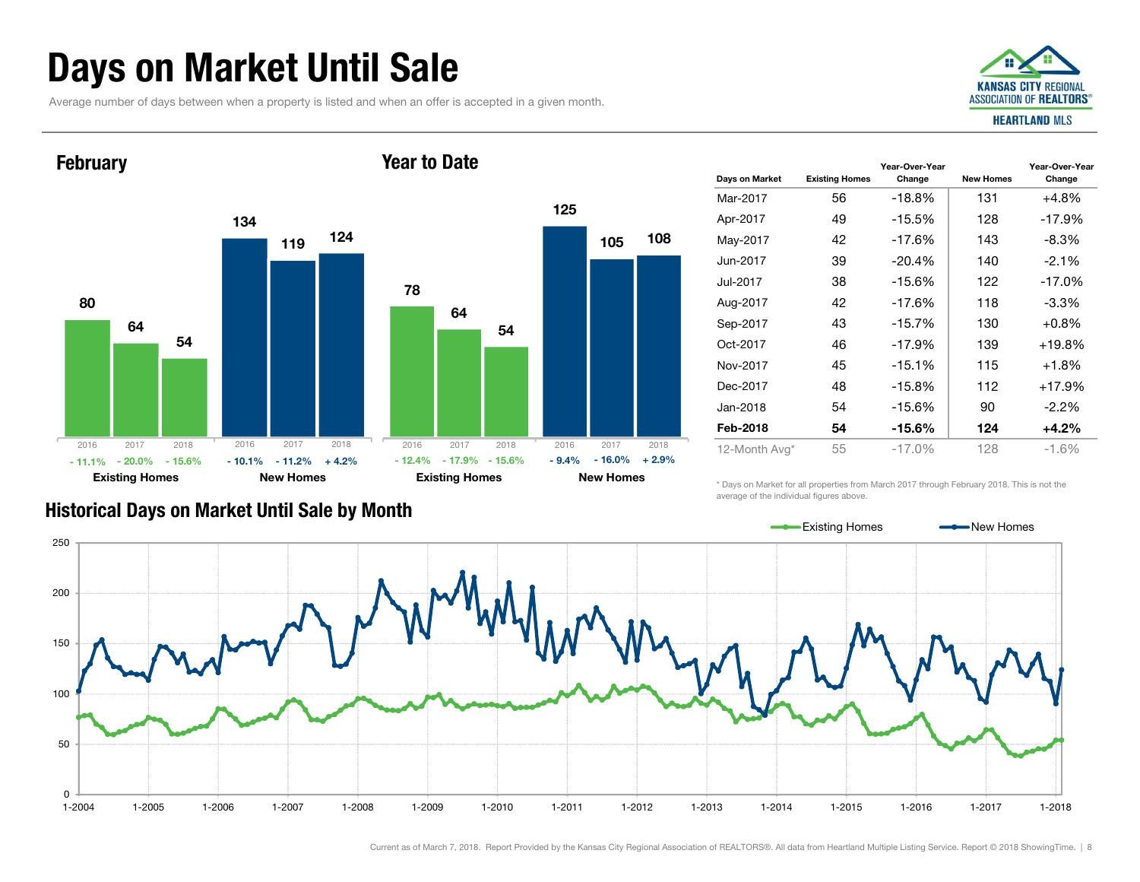# Days on Market Until Sale

Average number of days between when a property is listed and when an offer is accepted in a given month.



#### 8013464119 54124Existing Homes New Homes **February** 781256410554108Existing Homes New Homes Year to Date2016 2017 2018 - 20.0%- 11.1% $\%$  - 20.0% - 15.6% - 10.1% - 11.2% + 4.2% - 12.4% - 17.9% - 15.6% - 9.4% - 16.0% + 2.9% 2016 2017 2018 20162017 2018 2016 2017 2018

| Days on Market | <b>Existing Homes</b> | Year-Over-Year<br>Change | <b>New Homes</b> | Year-Over-Year<br>Change |
|----------------|-----------------------|--------------------------|------------------|--------------------------|
| Mar-2017       | 56                    | $-18.8%$                 | 131              | +4.8%                    |
| Apr-2017       | 49                    | $-15.5%$                 | 128              | $-17.9%$                 |
| May-2017       | 42                    | $-17.6%$                 | 143              | $-8.3\%$                 |
| Jun-2017       | 39                    | $-20.4%$                 | 140              | $-2.1\%$                 |
| Jul-2017       | 38                    | $-15.6%$                 | 122              | $-17.0%$                 |
| Aug-2017       | 42                    | $-17.6%$                 | 118              | $-3.3\%$                 |
| Sep-2017       | 43                    | $-15.7%$                 | 130              | $+0.8%$                  |
| Oct-2017       | 46                    | $-17.9%$                 | 139              | $+19.8%$                 |
| Nov-2017       | 45                    | $-15.1%$                 | 115              | $+1.8%$                  |
| Dec-2017       | 48                    | $-15.8%$                 | 112              | $+17.9%$                 |
| Jan-2018       | 54                    | $-15.6%$                 | 90               | $-2.2%$                  |
| Feb-2018       | 54                    | -15.6%                   | 124              | $+4.2%$                  |
| 12-Month Avg*  | 55                    | $-17.0\%$                | 128              | $-1.6\%$                 |

#### Historical Days on Market Until Sale by Month

\* Days on Market for all properties from March 2017 through February 2018. This is not the average of the individual figures above.

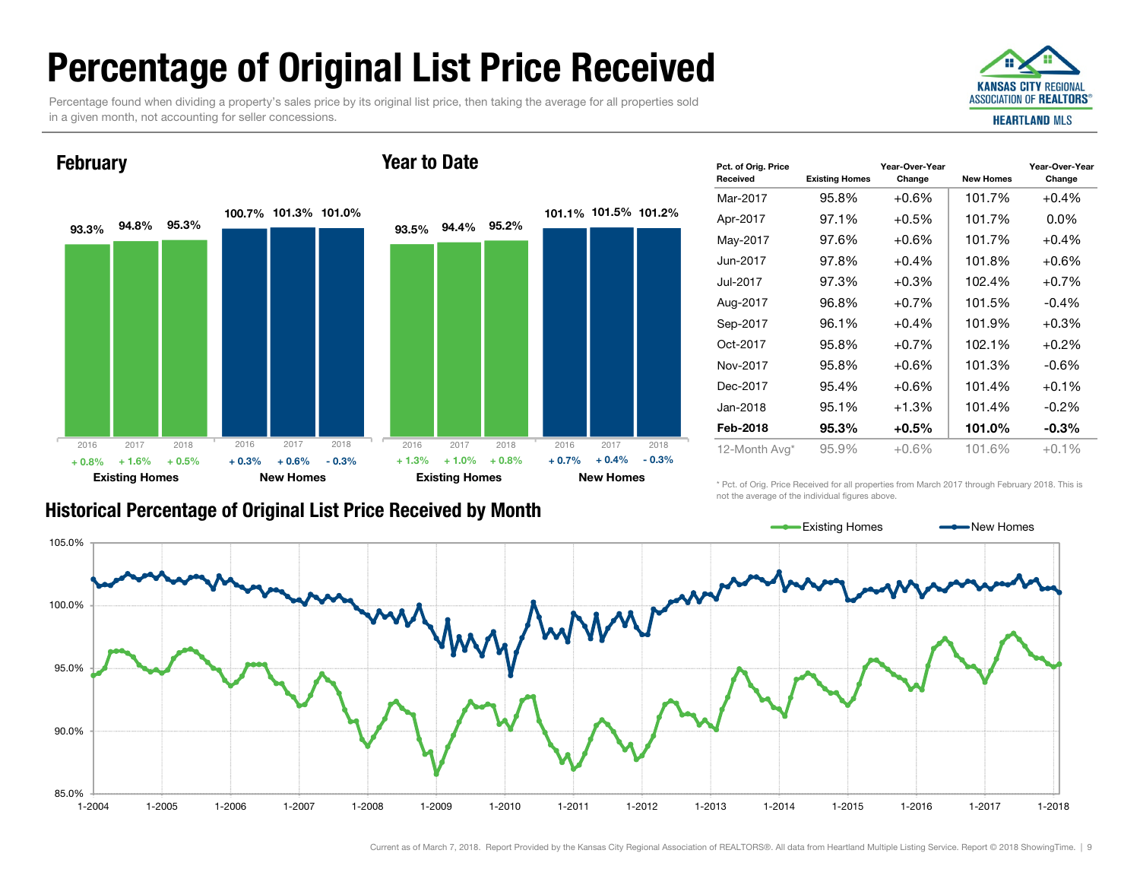# Percentage of Original List Price Received

Percentage found when dividing a property's sales price by its original list price, then taking the average for all properties sold in a given month, not accounting for seller concessions.



#### **February**

#### Year to Date



| Pct. of Orig. Price<br><b>Received</b> | <b>Existing Homes</b> | Year-Over-Year<br>Change | <b>New Homes</b> | Year-Over-Year<br>Change |
|----------------------------------------|-----------------------|--------------------------|------------------|--------------------------|
| Mar-2017                               | 95.8%                 | $+0.6\%$                 | 101.7%           | $+0.4%$                  |
| Apr-2017                               | 97.1%                 | $+0.5\%$                 | 101.7%           | $0.0\%$                  |
| May-2017                               | 97.6%                 | $+0.6\%$                 | 101.7%           | $+0.4%$                  |
| Jun-2017.                              | 97.8%                 | $+0.4\%$                 | 101.8%           | $+0.6\%$                 |
| Jul-2017                               | 97.3%                 | $+0.3%$                  | 102.4%           | $+0.7%$                  |
| Aug-2017                               | 96.8%                 | $+0.7%$                  | 101.5%           | $-0.4%$                  |
| Sep-2017                               | 96.1%                 | $+0.4%$                  | 101.9%           | $+0.3%$                  |
| Oct-2017                               | 95.8%                 | $+0.7%$                  | 102.1%           | $+0.2%$                  |
| Nov-2017                               | 95.8%                 | $+0.6\%$                 | 101.3%           | $-0.6%$                  |
| Dec-2017                               | 95.4%                 | $+0.6\%$                 | 101.4%           | $+0.1%$                  |
| Jan-2018                               | 95.1%                 | $+1.3%$                  | 101.4%           | $-0.2\%$                 |
| Feb-2018                               | 95.3%                 | $+0.5\%$                 | 101.0%           | $-0.3\%$                 |
| 12-Month Avg*                          | 95.9%                 | $+0.6%$                  | 101.6%           | $+0.1%$                  |

\* Pct. of Orig. Price Received for all properties from March 2017 through February 2018. This is not the average of the individual figures above.



#### Current as of March 7, 2018. Report Provided by the Kansas City Regional Association of REALTORS®. All data from Heartland Multiple Listing Service. Report © 2018 ShowingTime. | 9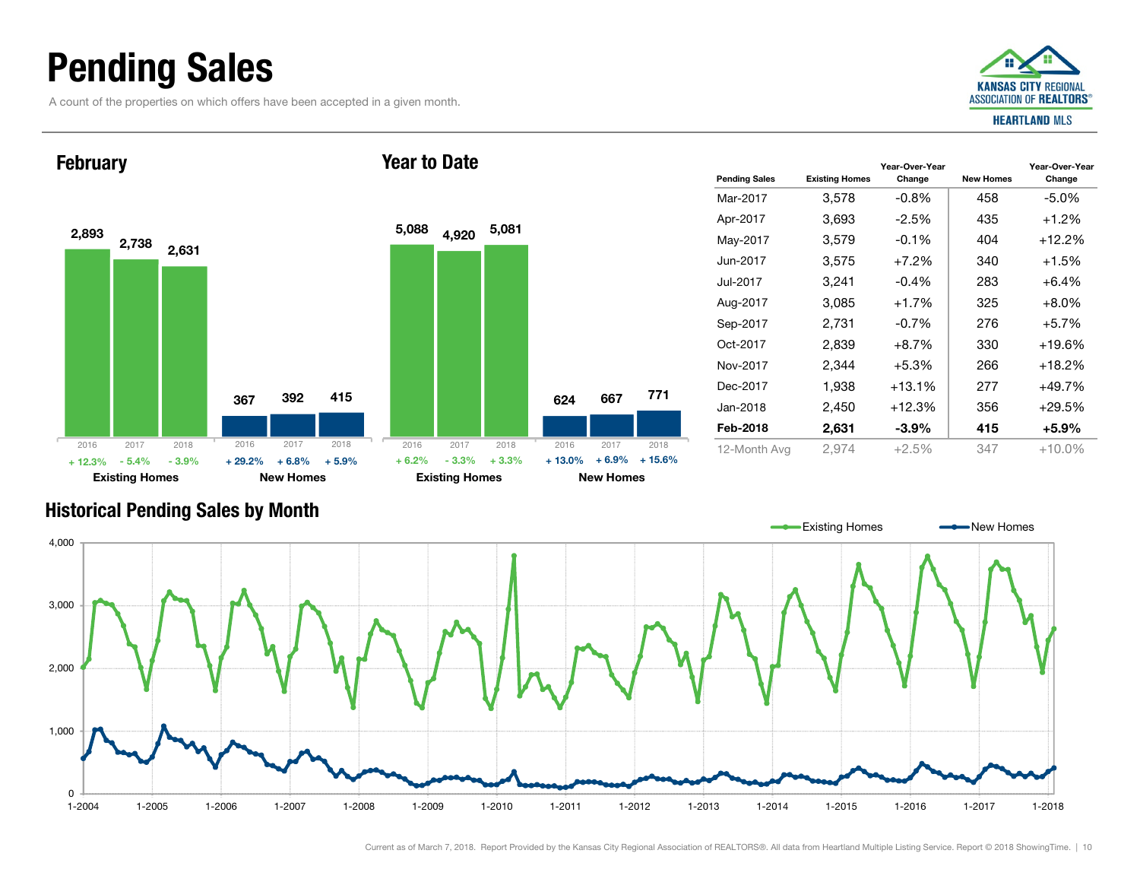## Pending Sales

A count of the properties on which offers have been accepted in a given month.



Year-Over-Year Change



| <b>Historical Pending Sales by Month</b> |  |  |  |  |
|------------------------------------------|--|--|--|--|
|------------------------------------------|--|--|--|--|



| $A \cap A$ $A$ $\sim$ $A$ $A$ $A$ $\sim$ $A$ | $\cap$ $\cap$ $\sup$ $\wedge$ | .0.001   | ∩ 1 フ | $. 4 \cap 00$ |
|----------------------------------------------|-------------------------------|----------|-------|---------------|
| Feb-2018                                     | 2,631                         | $-3.9\%$ | 415   | $+5.9\%$      |
| Jan-2018                                     | 2,450                         | $+12.3%$ | 356   | $+29.5%$      |
| Dec-2017                                     | 1,938                         | $+13.1%$ | 277   | $+49.7%$      |
| Nov-2017                                     | 2.344                         | $+5.3%$  | 266   | $+18.2%$      |
| Oct-2017                                     | 2.839                         | $+8.7%$  | 330   | $+19.6%$      |
| Sep-2017                                     | 2.731                         | $-0.7%$  | 276   | $+5.7%$       |
| Aug-2017                                     | 3.085                         | $+1.7%$  | 325   | $+8.0\%$      |
| Jul-2017                                     | 3.241                         | $-0.4%$  | 283   | $+6.4%$       |
| Jun-2017                                     | 3.575                         | $+7.2%$  | 340   | $+1.5%$       |
| May-2017                                     | 3,579                         | $-0.1%$  | 404   | $+12.2%$      |
| Apr-2017                                     | 3,693                         | $-2.5%$  | 435   | $+1.2%$       |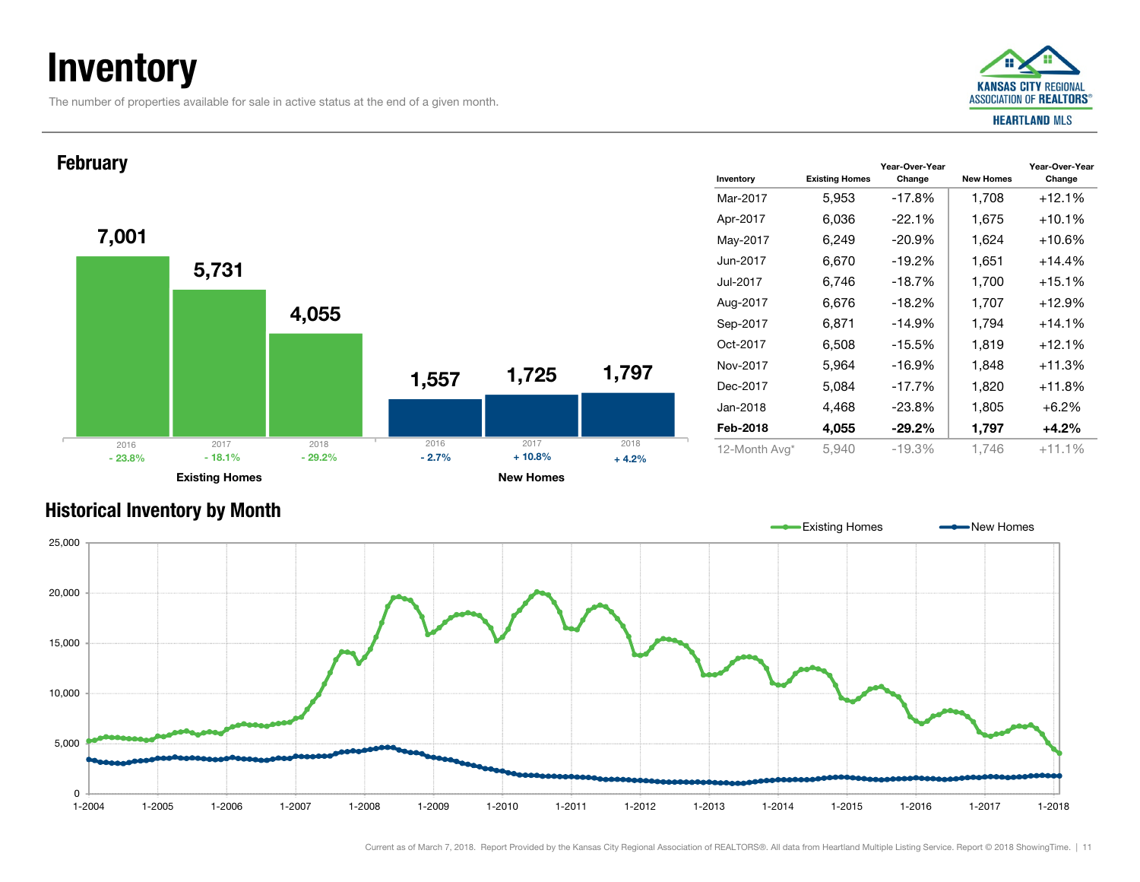# **Inventory**

The number of properties available for sale in active status at the end of a given month.



#### Inventory Existing Homes Mar-2017Jun-2017Jul-2017Oct-2017Nov-2017Dec-2017Jan-2018Feb-20187,001 1,557 5,731 1,725 4,055 1,797 Existing Homes **New Homes** New Homes February 2016 2017 2018  $\%$  - 18.1% - 29.2% - 2.7% % - 29.2% - 2.7% + 10.8% +  $4.2\%$ 2016 2017 2018 - 23.8%

| Inventory     | <b>Existing Homes</b> | Year-Over-Year<br>Change | <b>New Homes</b> | Year-Over-Year<br>Change |
|---------------|-----------------------|--------------------------|------------------|--------------------------|
| Mar-2017      | 5,953                 | $-17.8%$                 | 1,708            | $+12.1%$                 |
| Apr-2017      | 6,036                 | $-22.1%$                 | 1,675            | $+10.1%$                 |
| May-2017      | 6,249                 | $-20.9%$                 | 1,624            | $+10.6%$                 |
| Jun-2017      | 6,670                 | $-19.2%$                 | 1,651            | $+14.4%$                 |
| Jul-2017      | 6,746                 | $-18.7%$                 | 1,700            | $+15.1%$                 |
| Aug-2017      | 6,676                 | $-18.2%$                 | 1,707            | $+12.9%$                 |
| Sep-2017      | 6,871                 | $-14.9%$                 | 1,794            | $+14.1\%$                |
| Oct-2017      | 6,508                 | $-15.5%$                 | 1,819            | $+12.1%$                 |
| Nov-2017      | 5,964                 | $-16.9%$                 | 1,848            | $+11.3%$                 |
| Dec-2017      | 5,084                 | $-17.7%$                 | 1,820            | $+11.8%$                 |
| Jan-2018      | 4,468                 | $-23.8%$                 | 1,805            | $+6.2%$                  |
| Feb-2018      | 4,055                 | $-29.2\%$                | 1,797            | +4.2%                    |
| 12-Month Avg* | 5,940                 | -19.3%                   | 1.746            | $+11.1%$                 |

### **Existing Homes** New Homes <u>andr</u> 25,000 20,000 15,000 10,000 5,000 0 $1 - 2004$  $1 - 2018$ 1-2004 1-2005 1-2006 1-2007 1-2008 1-2009 1-2010 1-2011 1-2012 1-2013 1-2014 1-2015 1-2016 1-2017 1-2018

Historical Inventory by Month